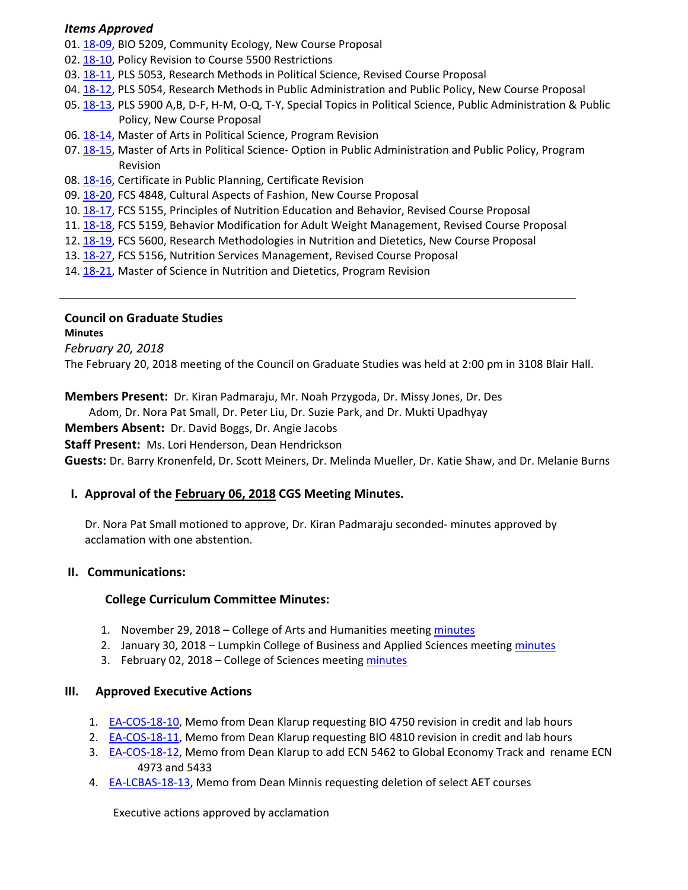### *Items Approved*

- 01. 18‐[09,](http://castle.eiu.edu/eiucgs/currentagendaitems/agenda18-09.pdf) BIO 5209, Community Ecology, New Course Proposal
- 02. 18-[10,](http://castle.eiu.edu/eiucgs/currentagendaitems/agenda18-10.pdf) Policy Revision to Course 5500 Restrictions
- 03. 18‐[11,](http://castle.eiu.edu/eiucgs/currentagendaitems/agenda18-11.pdf) PLS 5053, Research Methods in Political Science, Revised Course Proposal
- 04. 18‐[12,](http://castle.eiu.edu/eiucgs/currentagendaitems/agenda18-12.pdf) PLS 5054, Research Methods in Public Administration and Public Policy, New Course Proposal
- 05. 18‐[13,](http://castle.eiu.edu/eiucgs/currentagendaitems/agenda18-13.pdf) PLS 5900 A,B, D‐F, H‐M, O‐Q, T‐Y, Special Topics in Political Science, Public Administration & Public Policy, New Course Proposal
- 06. [18](http://castle.eiu.edu/eiucgs/currentagendaitems/agenda18-14.pdf)-14, Master of Arts in Political Science, Program Revision
- 07. 18-[15,](http://castle.eiu.edu/eiucgs/currentagendaitems/agenda18-15.pdf) Master of Arts in Political Science- Option in Public Administration and Public Policy, Program Revision
- 08. 18‐[16,](http://castle.eiu.edu/eiucgs/currentagendaitems/agenda18-16.pdf) Certificate in Public Planning, Certificate Revision
- 09. 18-[20,](http://castle.eiu.edu/eiucgs/currentagendaitems/agenda18-20.pdf) FCS 4848, Cultural Aspects of Fashion, New Course Proposal
- 10. 18‐[17,](http://castle.eiu.edu/eiucgs/currentagendaitems/agenda18-17.pdf) FCS 5155, Principles of Nutrition Education and Behavior, Revised Course Proposal
- 11. 18‐[18,](http://castle.eiu.edu/eiucgs/currentagendaitems/agenda18-18.pdf) FCS 5159, Behavior Modification for Adult Weight Management, Revised Course Proposal
- 12. 18‐[19,](http://castle.eiu.edu/eiucgs/currentagendaitems/agenda18-19.pdf) FCS 5600, Research Methodologies in Nutrition and Dietetics, New Course Proposal
- 13. 18-[27,](http://castle.eiu.edu/eiucgs/currentagendaitems/agenda18-27.pdf) FCS 5156, Nutrition Services Management, Revised Course Proposal
- 14. 18-[21,](http://castle.eiu.edu/eiucgs/currentagendaitems/agenda18-21.pdf) Master of Science in Nutrition and Dietetics, Program Revision

### **Council on Graduate Studies**

#### **Minutes**

*February 20, 2018*

The February 20, 2018 meeting of the Council on Graduate Studies was held at 2:00 pm in 3108 Blair Hall.

**Members Present:** Dr. Kiran Padmaraju, Mr. Noah Przygoda, Dr. Missy Jones, Dr. Des

Adom, Dr. Nora Pat Small, Dr. Peter Liu, Dr. Suzie Park, and Dr. Mukti Upadhyay

**Members Absent:** Dr. David Boggs, Dr. Angie Jacobs

**Staff Present:** Ms. Lori Henderson, Dean Hendrickson

**Guests:** Dr. Barry Kronenfeld, Dr. Scott Meiners, Dr. Melinda Mueller, Dr. Katie Shaw, and Dr. Melanie Burns

## **I. Approval of the [February](http://castle.eiu.edu/eiucgs/currentminutes/Minutes2-06-18.pdf) 06, 2018 CGS Meeting Minutes.**

Dr. Nora Pat Small motioned to approve, Dr. Kiran Padmaraju seconded‐ minutes approved by acclamation with one abstention.

## **II. Communications:**

## **College Curriculum Committee Minutes:**

- 1. November 29, 2018 College of Arts and Humanities meeting [minutes](http://www.eiu.edu/AHColleg/cahcc_files/2017/CAHCC_Minutes_11_29_2017.pdf)
- 2. January 30, 2018 Lumpkin College of Business and Applied Sciences meeting [minutes](http://www.eiu.edu/~lumpkin/Curriculum/lcbascurrmin20180130.pdf)
- 3. February 02, 2018 College of Sciences meeting [minutes](http://www.eiu.edu/colsci/coscc/minutes_2017/COSCC_Minutes_2_2_18.pdf)

#### **III. Approved Executive Actions**

- 1. **EA-[COS](http://castle.eiu.edu/eiucgs/exec-actions/EA-COS-18-10.pdf)-18-10**, Memo from Dean Klarup requesting BIO 4750 revision in credit and lab hours
- 2. EA-[COS](http://castle.eiu.edu/eiucgs/exec-actions/EA-COS-18-11.pdf)-18-11, Memo from Dean Klarup requesting BIO 4810 revision in credit and lab hours
- 3. EA-[COS](http://castle.eiu.edu/eiucgs/exec-actions/EA-COS-18-12.pdf)-18-12, Memo from Dean Klarup to add ECN 5462 to Global Economy Track and rename ECN 4973 and 5433
- 4. EA‐[LCBAS](http://castle.eiu.edu/eiucgs/exec-actions/EA-LCBAS-18-13.pdf)‐18‐13, Memo from Dean Minnis requesting deletion of select AET courses

Executive actions approved by acclamation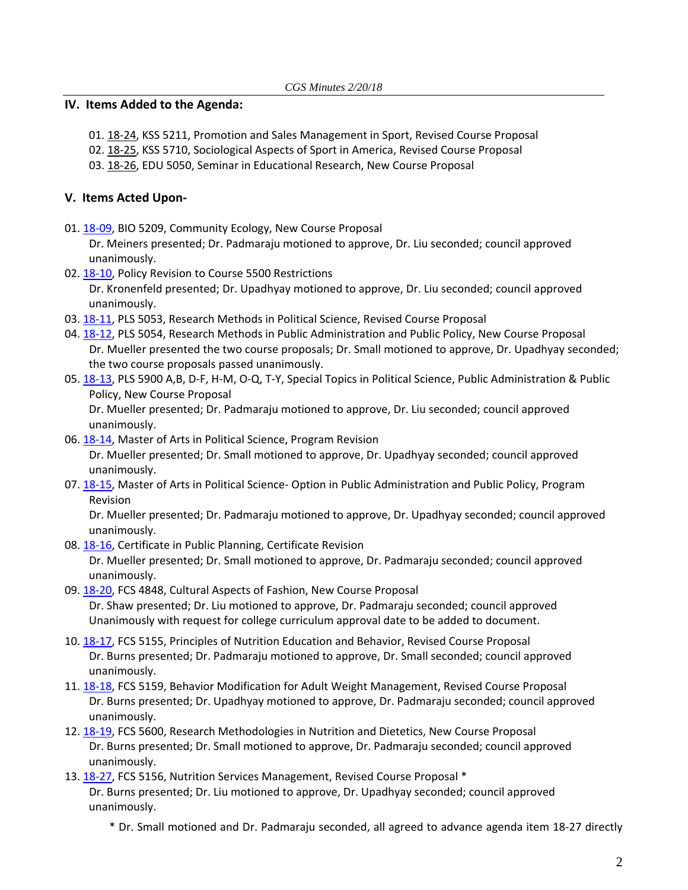### **IV. Items Added to the Agenda:**

- 01. 18-[24,](http://castle.eiu.edu/eiucgs/currentagendaitems/agenda18-24.pdf) KSS 5211, Promotion and Sales Management in Sport, Revised Course Proposal
- 02. [18](http://castle.eiu.edu/eiucgs/currentagendaitems/agenda18-25.pdf)‐25, KSS 5710, Sociological Aspects of Sport in America, Revised Course Proposal
- 03. 18‐[26,](http://castle.eiu.edu/eiucgs/currentagendaitems/agenda18-26.pdf) EDU 5050, Seminar in Educational Research, New Course Proposal

# **V. Items Acted Upon‐**

01. 18-[09,](http://castle.eiu.edu/eiucgs/currentagendaitems/agenda18-09.pdf) BIO 5209, Community Ecology, New Course Proposal

Dr. Meiners presented; Dr. Padmaraju motioned to approve, Dr. Liu seconded; council approved unanimously.

- 02. 18-[10,](http://castle.eiu.edu/eiucgs/currentagendaitems/agenda18-10.pdf) Policy Revision to Course 5500 Restrictions Dr. Kronenfeld presented; Dr. Upadhyay motioned to approve, Dr. Liu seconded; council approved unanimously.
- 03. 18‐[11,](http://castle.eiu.edu/eiucgs/currentagendaitems/agenda18-11.pdf) PLS 5053, Research Methods in Political Science, Revised Course Proposal
- 04. 18-[12,](http://castle.eiu.edu/eiucgs/currentagendaitems/agenda18-12.pdf) PLS 5054, Research Methods in Public Administration and Public Policy, New Course Proposal Dr. Mueller presented the two course proposals; Dr. Small motioned to approve, Dr. Upadhyay seconded; the two course proposals passed unanimously.
- 05. 18‐[13,](http://castle.eiu.edu/eiucgs/currentagendaitems/agenda18-13.pdf) PLS 5900 A,B, D‐F, H‐M, O‐Q, T‐Y, Special Topics in Political Science, Public Administration & Public Policy, New Course Proposal

Dr. Mueller presented; Dr. Padmaraju motioned to approve, Dr. Liu seconded; council approved unanimously.

- 06. 18‐[14,](http://castle.eiu.edu/eiucgs/currentagendaitems/agenda18-14.pdf) Master of Arts in Political Science, Program Revision Dr. Mueller presented; Dr. Small motioned to approve, Dr. Upadhyay seconded; council approved unanimously.
- 07. 18-[15,](http://castle.eiu.edu/eiucgs/currentagendaitems/agenda18-15.pdf) Master of Arts in Political Science- Option in Public Administration and Public Policy, Program Revision

Dr. Mueller presented; Dr. Padmaraju motioned to approve, Dr. Upadhyay seconded; council approved unanimously.

08. 18‐[16,](http://castle.eiu.edu/eiucgs/currentagendaitems/agenda18-16.pdf) Certificate in Public Planning, Certificate Revision

Dr. Mueller presented; Dr. Small motioned to approve, Dr. Padmaraju seconded; council approved unanimously.

- 09. 18-[20,](http://castle.eiu.edu/eiucgs/currentagendaitems/agenda18-20.pdf) FCS 4848, Cultural Aspects of Fashion, New Course Proposal Dr. Shaw presented; Dr. Liu motioned to approve, Dr. Padmaraju seconded; council approved Unanimously with request for college curriculum approval date to be added to document.
- 10. 18‐[17,](http://castle.eiu.edu/eiucgs/currentagendaitems/agenda18-17.pdf) FCS 5155, Principles of Nutrition Education and Behavior, Revised Course Proposal Dr. Burns presented; Dr. Padmaraju motioned to approve, Dr. Small seconded; council approved unanimously.
- 11. 18-[18,](http://castle.eiu.edu/eiucgs/currentagendaitems/agenda18-18.pdf) FCS 5159, Behavior Modification for Adult Weight Management, Revised Course Proposal Dr. Burns presented; Dr. Upadhyay motioned to approve, Dr. Padmaraju seconded; council approved unanimously.
- 12. 18‐[19,](http://castle.eiu.edu/eiucgs/currentagendaitems/agenda18-19.pdf) FCS 5600, Research Methodologies in Nutrition and Dietetics, New Course Proposal Dr. Burns presented; Dr. Small motioned to approve, Dr. Padmaraju seconded; council approved unanimously.
- 13. 18‐[27,](http://castle.eiu.edu/eiucgs/currentagendaitems/agenda18-27.pdf) FCS 5156, Nutrition Services Management, Revised Course Proposal \* Dr. Burns presented; Dr. Liu motioned to approve, Dr. Upadhyay seconded; council approved unanimously.
	- \* Dr. Small motioned and Dr. Padmaraju seconded, all agreed to advance agenda item 18‐27 directly